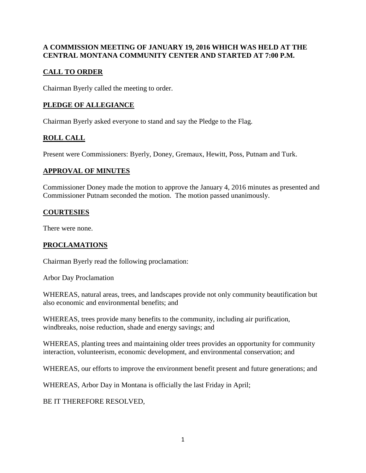## **A COMMISSION MEETING OF JANUARY 19, 2016 WHICH WAS HELD AT THE CENTRAL MONTANA COMMUNITY CENTER AND STARTED AT 7:00 P.M.**

## **CALL TO ORDER**

Chairman Byerly called the meeting to order.

## **PLEDGE OF ALLEGIANCE**

Chairman Byerly asked everyone to stand and say the Pledge to the Flag.

# **ROLL CALL**

Present were Commissioners: Byerly, Doney, Gremaux, Hewitt, Poss, Putnam and Turk.

### **APPROVAL OF MINUTES**

Commissioner Doney made the motion to approve the January 4, 2016 minutes as presented and Commissioner Putnam seconded the motion. The motion passed unanimously.

### **COURTESIES**

There were none.

### **PROCLAMATIONS**

Chairman Byerly read the following proclamation:

Arbor Day Proclamation

WHEREAS, natural areas, trees, and landscapes provide not only community beautification but also economic and environmental benefits; and

WHEREAS, trees provide many benefits to the community, including air purification, windbreaks, noise reduction, shade and energy savings; and

WHEREAS, planting trees and maintaining older trees provides an opportunity for community interaction, volunteerism, economic development, and environmental conservation; and

WHEREAS, our efforts to improve the environment benefit present and future generations; and

WHEREAS, Arbor Day in Montana is officially the last Friday in April;

BE IT THEREFORE RESOLVED,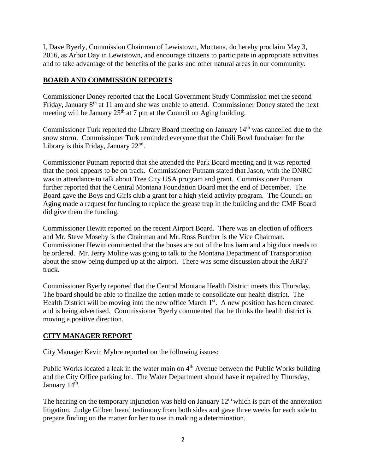I, Dave Byerly, Commission Chairman of Lewistown, Montana, do hereby proclaim May 3, 2016, as Arbor Day in Lewistown, and encourage citizens to participate in appropriate activities and to take advantage of the benefits of the parks and other natural areas in our community.

## **BOARD AND COMMISSION REPORTS**

Commissioner Doney reported that the Local Government Study Commission met the second Friday, January 8<sup>th</sup> at 11 am and she was unable to attend. Commissioner Doney stated the next meeting will be January  $25<sup>th</sup>$  at 7 pm at the Council on Aging building.

Commissioner Turk reported the Library Board meeting on January 14<sup>th</sup> was cancelled due to the snow storm. Commissioner Turk reminded everyone that the Chili Bowl fundraiser for the Library is this Friday, January 22<sup>nd</sup>.

Commissioner Putnam reported that she attended the Park Board meeting and it was reported that the pool appears to be on track. Commissioner Putnam stated that Jason, with the DNRC was in attendance to talk about Tree City USA program and grant. Commissioner Putnam further reported that the Central Montana Foundation Board met the end of December. The Board gave the Boys and Girls club a grant for a high yield activity program. The Council on Aging made a request for funding to replace the grease trap in the building and the CMF Board did give them the funding.

Commissioner Hewitt reported on the recent Airport Board. There was an election of officers and Mr. Steve Moseby is the Chairman and Mr. Ross Butcher is the Vice Chairman. Commissioner Hewitt commented that the buses are out of the bus barn and a big door needs to be ordered. Mr. Jerry Moline was going to talk to the Montana Department of Transportation about the snow being dumped up at the airport. There was some discussion about the ARFF truck.

Commissioner Byerly reported that the Central Montana Health District meets this Thursday. The board should be able to finalize the action made to consolidate our health district. The Health District will be moving into the new office March  $1<sup>st</sup>$ . A new position has been created and is being advertised. Commissioner Byerly commented that he thinks the health district is moving a positive direction.

### **CITY MANAGER REPORT**

City Manager Kevin Myhre reported on the following issues:

Public Works located a leak in the water main on  $4<sup>th</sup>$  Avenue between the Public Works building and the City Office parking lot. The Water Department should have it repaired by Thursday, January 14<sup>th</sup>.

The hearing on the temporary injunction was held on January  $12<sup>th</sup>$  which is part of the annexation litigation. Judge Gilbert heard testimony from both sides and gave three weeks for each side to prepare finding on the matter for her to use in making a determination.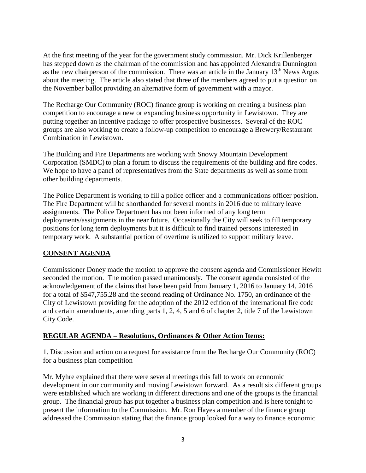At the first meeting of the year for the government study commission. Mr. Dick Krillenberger has stepped down as the chairman of the commission and has appointed Alexandra Dunnington as the new chairperson of the commission. There was an article in the January 13<sup>th</sup> News Argus about the meeting. The article also stated that three of the members agreed to put a question on the November ballot providing an alternative form of government with a mayor.

The Recharge Our Community (ROC) finance group is working on creating a business plan competition to encourage a new or expanding business opportunity in Lewistown. They are putting together an incentive package to offer prospective businesses. Several of the ROC groups are also working to create a follow-up competition to encourage a Brewery/Restaurant Combination in Lewistown.

The Building and Fire Departments are working with Snowy Mountain Development Corporation (SMDC) to plan a forum to discuss the requirements of the building and fire codes. We hope to have a panel of representatives from the State departments as well as some from other building departments.

The Police Department is working to fill a police officer and a communications officer position. The Fire Department will be shorthanded for several months in 2016 due to military leave assignments. The Police Department has not been informed of any long term deployments/assignments in the near future. Occasionally the City will seek to fill temporary positions for long term deployments but it is difficult to find trained persons interested in temporary work. A substantial portion of overtime is utilized to support military leave.

### **CONSENT AGENDA**

Commissioner Doney made the motion to approve the consent agenda and Commissioner Hewitt seconded the motion. The motion passed unanimously. The consent agenda consisted of the acknowledgement of the claims that have been paid from January 1, 2016 to January 14, 2016 for a total of \$547,755.28 and the second reading of Ordinance No. 1750, an ordinance of the City of Lewistown providing for the adoption of the 2012 edition of the international fire code and certain amendments, amending parts 1, 2, 4, 5 and 6 of chapter 2, title 7 of the Lewistown City Code.

### **REGULAR AGENDA – Resolutions, Ordinances & Other Action Items:**

1. Discussion and action on a request for assistance from the Recharge Our Community (ROC) for a business plan competition

Mr. Myhre explained that there were several meetings this fall to work on economic development in our community and moving Lewistown forward. As a result six different groups were established which are working in different directions and one of the groups is the financial group. The financial group has put together a business plan competition and is here tonight to present the information to the Commission. Mr. Ron Hayes a member of the finance group addressed the Commission stating that the finance group looked for a way to finance economic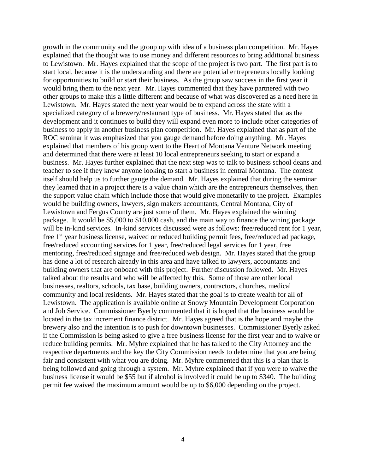growth in the community and the group up with idea of a business plan competition. Mr. Hayes explained that the thought was to use money and different resources to bring additional business to Lewistown. Mr. Hayes explained that the scope of the project is two part. The first part is to start local, because it is the understanding and there are potential entrepreneurs locally looking for opportunities to build or start their business. As the group saw success in the first year it would bring them to the next year. Mr. Hayes commented that they have partnered with two other groups to make this a little different and because of what was discovered as a need here in Lewistown. Mr. Hayes stated the next year would be to expand across the state with a specialized category of a brewery/restaurant type of business. Mr. Hayes stated that as the development and it continues to build they will expand even more to include other categories of business to apply in another business plan competition. Mr. Hayes explained that as part of the ROC seminar it was emphasized that you gauge demand before doing anything. Mr. Hayes explained that members of his group went to the Heart of Montana Venture Network meeting and determined that there were at least 10 local entrepreneurs seeking to start or expand a business. Mr. Hayes further explained that the next step was to talk to business school deans and teacher to see if they knew anyone looking to start a business in central Montana. The contest itself should help us to further gauge the demand. Mr. Hayes explained that during the seminar they learned that in a project there is a value chain which are the entrepreneurs themselves, then the support value chain which include those that would give monetarily to the project. Examples would be building owners, lawyers, sign makers accountants, Central Montana, City of Lewistown and Fergus County are just some of them. Mr. Hayes explained the winning package. It would be \$5,000 to \$10,000 cash, and the main way to finance the wining package will be in-kind services. In-kind services discussed were as follows: free/reduced rent for 1 year, free 1<sup>st</sup> year business license, waived or reduced building permit fees, free/reduced ad package, free/reduced accounting services for 1 year, free/reduced legal services for 1 year, free mentoring, free/reduced signage and free/reduced web design. Mr. Hayes stated that the group has done a lot of research already in this area and have talked to lawyers, accountants and building owners that are onboard with this project. Further discussion followed. Mr. Hayes talked about the results and who will be affected by this. Some of those are other local businesses, realtors, schools, tax base, building owners, contractors, churches, medical community and local residents. Mr. Hayes stated that the goal is to create wealth for all of Lewistown. The application is available online at Snowy Mountain Development Corporation and Job Service. Commissioner Byerly commented that it is hoped that the business would be located in the tax increment finance district. Mr. Hayes agreed that is the hope and maybe the brewery also and the intention is to push for downtown businesses. Commissioner Byerly asked if the Commission is being asked to give a free business license for the first year and to waive or reduce building permits. Mr. Myhre explained that he has talked to the City Attorney and the respective departments and the key the City Commission needs to determine that you are being fair and consistent with what you are doing. Mr. Myhre commented that this is a plan that is being followed and going through a system. Mr. Myhre explained that if you were to waive the business license it would be \$55 but if alcohol is involved it could be up to \$340. The building permit fee waived the maximum amount would be up to \$6,000 depending on the project.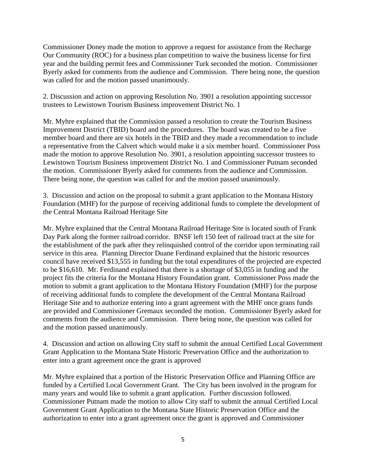Commissioner Doney made the motion to approve a request for assistance from the Recharge Our Community (ROC) for a business plan competition to waive the business license for first year and the building permit fees and Commissioner Turk seconded the motion. Commissioner Byerly asked for comments from the audience and Commission. There being none, the question was called for and the motion passed unanimously.

2. Discussion and action on approving Resolution No. 3901 a resolution appointing successor trustees to Lewistown Tourism Business improvement District No. 1

Mr. Myhre explained that the Commission passed a resolution to create the Tourism Business Improvement District (TBID) board and the procedures. The board was created to be a five member board and there are six hotels in the TBID and they made a recommendation to include a representative from the Calvert which would make it a six member board. Commissioner Poss made the motion to approve Resolution No. 3901, a resolution appointing successor trustees to Lewistown Tourism Business improvement District No. 1 and Commissioner Putnam seconded the motion. Commissioner Byerly asked for comments from the audience and Commission. There being none, the question was called for and the motion passed unanimously.

3. Discussion and action on the proposal to submit a grant application to the Montana History Foundation (MHF) for the purpose of receiving additional funds to complete the development of the Central Montana Railroad Heritage Site

Mr. Myhre explained that the Central Montana Railroad Heritage Site is located south of Frank Day Park along the former railroad corridor. BNSF left 150 feet of railroad tract at the site for the establishment of the park after they relinquished control of the corridor upon terminating rail service in this area. Planning Director Duane Ferdinand explained that the historic resources council have received \$13,555 in funding but the total expenditures of the projected are expected to be \$16,610. Mr. Ferdinand explained that there is a shortage of \$3,055 in funding and the project fits the criteria for the Montana History Foundation grant. Commissioner Poss made the motion to submit a grant application to the Montana History Foundation (MHF) for the purpose of receiving additional funds to complete the development of the Central Montana Railroad Heritage Site and to authorize entering into a grant agreement with the MHF once grans funds are provided and Commissioner Gremaux seconded the motion. Commissioner Byerly asked for comments from the audience and Commission. There being none, the question was called for and the motion passed unanimously.

4. Discussion and action on allowing City staff to submit the annual Certified Local Government Grant Application to the Montana State Historic Preservation Office and the authorization to enter into a grant agreement once the grant is approved

Mr. Myhre explained that a portion of the Historic Preservation Office and Planning Office are funded by a Certified Local Government Grant. The City has been involved in the program for many years and would like to submit a grant application. Further discussion followed. Commissioner Putnam made the motion to allow City staff to submit the annual Certified Local Government Grant Application to the Montana State Historic Preservation Office and the authorization to enter into a grant agreement once the grant is approved and Commissioner